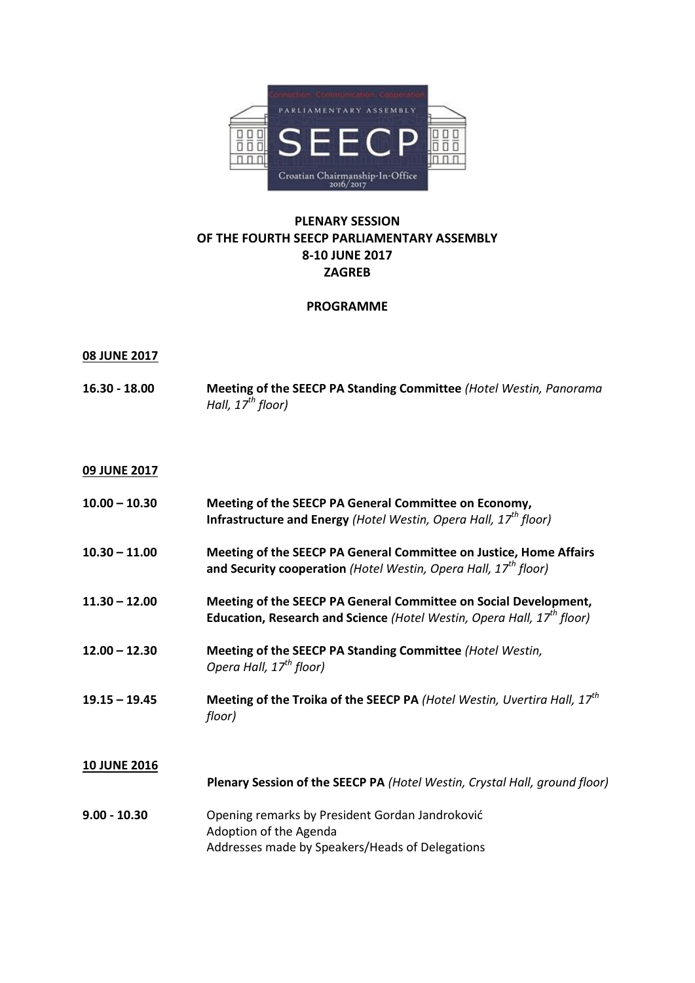

## **PLENARY SESSION OF THE FOURTH SEECP PARLIAMENTARY ASSEMBLY 8-10 JUNE 2017 ZAGREB**

## **PROGRAMME**

## **08 JUNE 2017**

**16.30 - 18.00 Meeting of the SEECP PA Standing Committee** *(Hotel Westin, Panorama Hall, 17th floor)*

## **09 JUNE 2017**

| $10.00 - 10.30$     | Meeting of the SEECP PA General Committee on Economy,<br>Infrastructure and Energy (Hotel Westin, Opera Hall, $17th$ floor)                            |
|---------------------|--------------------------------------------------------------------------------------------------------------------------------------------------------|
| $10.30 - 11.00$     | Meeting of the SEECP PA General Committee on Justice, Home Affairs<br>and Security cooperation (Hotel Westin, Opera Hall, 17 <sup>th</sup> floor)      |
| $11.30 - 12.00$     | Meeting of the SEECP PA General Committee on Social Development,<br>Education, Research and Science (Hotel Westin, Opera Hall, 17 <sup>th</sup> floor) |
| $12.00 - 12.30$     | Meeting of the SEECP PA Standing Committee (Hotel Westin,<br>Opera Hall, 17 <sup>th</sup> floor)                                                       |
| $19.15 - 19.45$     | Meeting of the Troika of the SEECP PA (Hotel Westin, Uvertira Hall, 17 <sup>th</sup><br>floor)                                                         |
| <b>10 JUNE 2016</b> | Plenary Session of the SEECP PA (Hotel Westin, Crystal Hall, ground floor)                                                                             |
| $9.00 - 10.30$      | Opening remarks by President Gordan Jandroković<br>Adoption of the Agenda<br>Addresses made by Speakers/Heads of Delegations                           |